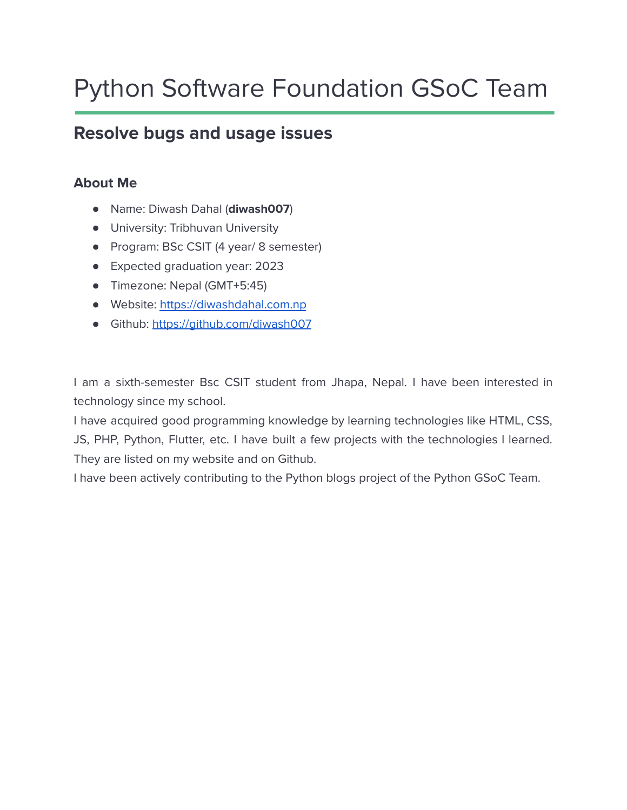# Python Software Foundation GSoC Team

# **Resolve bugs and usage issues**

# **About Me**

- Name: Diwash Dahal (**diwash007**)
- University: Tribhuvan University
- Program: BSc CSIT (4 year/ 8 semester)
- Expected graduation year: 2023
- Timezone: Nepal (GMT+5:45)
- Website: <https://diwashdahal.com.np>
- Github: <https://github.com/diwash007>

I am a sixth-semester Bsc CSIT student from Jhapa, Nepal. I have been interested in technology since my school.

I have acquired good programming knowledge by learning technologies like HTML, CSS, JS, PHP, Python, Flutter, etc. I have built a few projects with the technologies I learned. They are listed on my website and on Github.

I have been actively contributing to the Python blogs project of the Python GSoC Team.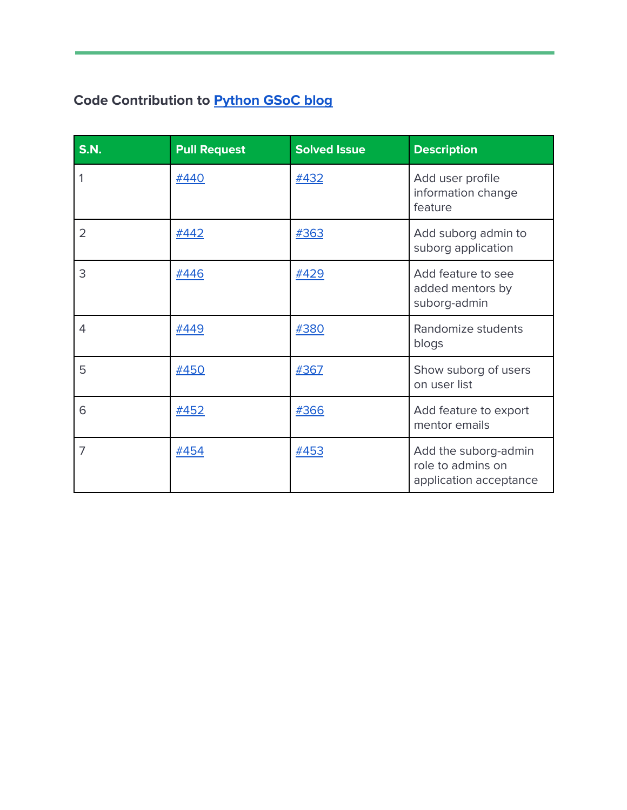# **Code Contribution to [Python](https://github.com/python-gsoc/python-blogs) GSoC blog**

| <b>S.N.</b>    | <b>Pull Request</b> | <b>Solved Issue</b> | <b>Description</b>                                                  |
|----------------|---------------------|---------------------|---------------------------------------------------------------------|
| 1              | #440                | #432                | Add user profile<br>information change<br>feature                   |
| $\overline{2}$ | #442                | #363                | Add suborg admin to<br>suborg application                           |
| 3              | #446                | #429                | Add feature to see<br>added mentors by<br>suborg-admin              |
| 4              | #449                | #380                | Randomize students<br>blogs                                         |
| 5              | <b>#450</b>         | #367                | Show suborg of users<br>on user list                                |
| 6              | #452                | #366                | Add feature to export<br>mentor emails                              |
| 7              | #454                | #453                | Add the suborg-admin<br>role to admins on<br>application acceptance |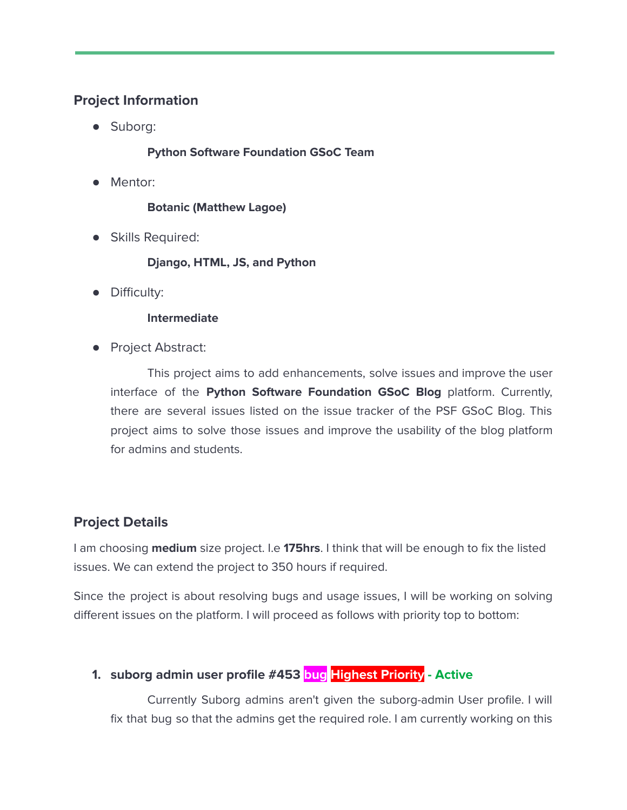### **Project Information**

● Suborg:

#### **Python Software Foundation GSoC Team**

● Mentor:

**Botanic (Matthew Lagoe)**

● Skills Required:

#### **Django, HTML, JS, and Python**

● Difficulty:

#### **Intermediate**

Project Abstract:

This project aims to add enhancements, solve issues and improve the user interface of the **Python Software Foundation GSoC Blog** platform. Currently, there are several issues listed on the issue tracker of the PSF GSoC Blog. This project aims to solve those issues and improve the usability of the blog platform for admins and students.

# **Project Details**

I am choosing **medium** size project. I.e **175hrs**. I think that will be enough to fix the listed issues. We can extend the project to 350 hours if required.

Since the project is about resolving bugs and usage issues, I will be working on solving different issues on the platform. I will proceed as follows with priority top to bottom:

# **1. suborg admin user profile #453 bug Highest Priority - Active**

Currently Suborg admins aren't given the suborg-admin User profile. I will fix that bug so that the admins get the required role. I am currently working on this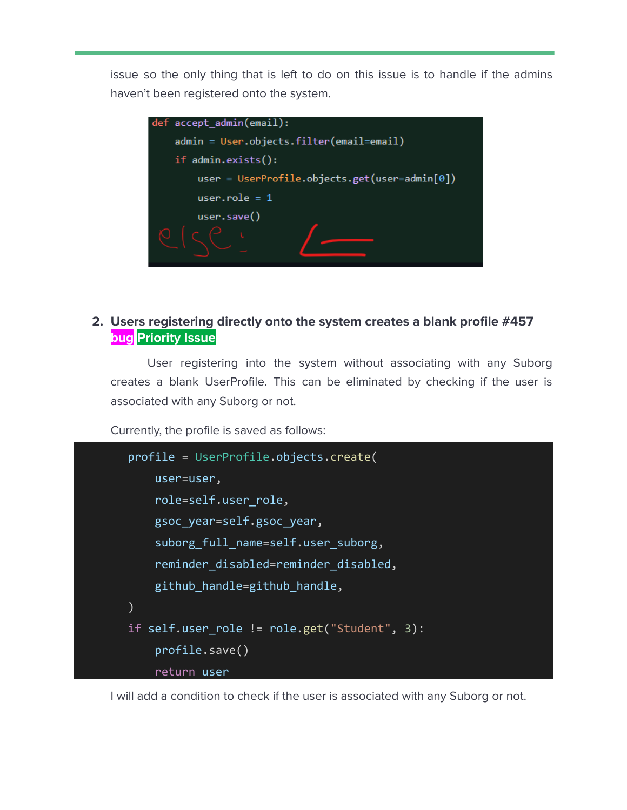issue so the only thing that is left to do on this issue is to handle if the admins haven't been registered onto the system.



### **2. Users registering directly onto the system creates a blank profile #457 bug Priority Issue**

User registering into the system without associating with any Suborg creates a blank UserProfile. This can be eliminated by checking if the user is associated with any Suborg or not.

Currently, the profile is saved as follows:

```
profile = UserProfile.objects.create(
   user=user,
    role=self.user_role,
   gsoc_year=self.gsoc_year,
    suborg full name=self.user suborg,
    reminder disabled=reminder disabled,
   github handle=github handle,
)
if self.user_role != role.get("Student", 3):
   profile.save()
    return user
```
I will add a condition to check if the user is associated with any Suborg or not.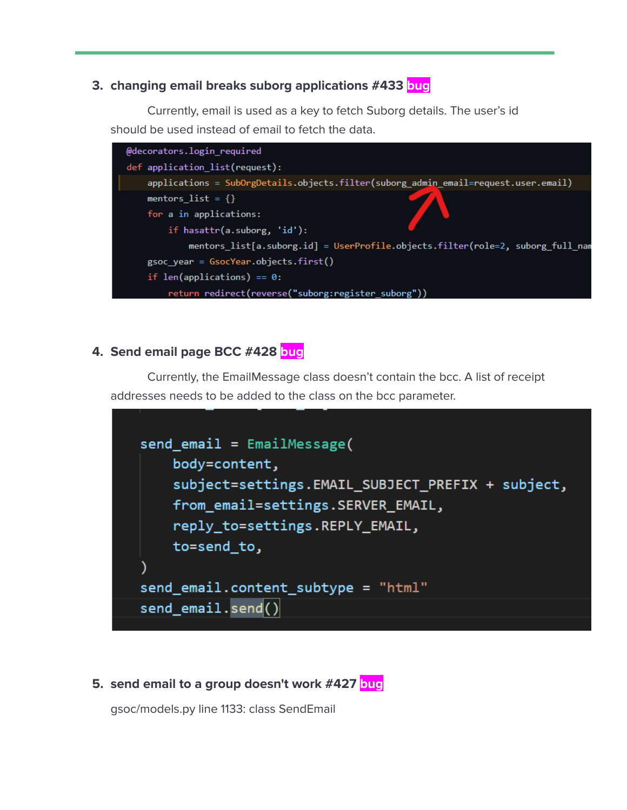#### **3. changing email breaks suborg applications #433 bug**

Currently, email is used as a key to fetch Suborg details. The user's id should be used instead of email to fetch the data.

| @decorators.login_required                                                         |  |  |
|------------------------------------------------------------------------------------|--|--|
| def application_list(request):                                                     |  |  |
| applications = SubOrgDetails.objects.filter(suborg_admin_email=request.user.email) |  |  |
| mentors_list = $\{\}$                                                              |  |  |
| for a in applications:                                                             |  |  |
| if hasattr(a.suborg, 'id'):                                                        |  |  |
| mentors list[a.suborg.id] = UserProfile.objects.filter(role=2, suborg full nam     |  |  |
| $gsoc$ year = $GsocYear.objects.first()$                                           |  |  |
| if len(applications) == $0$ :                                                      |  |  |
| return redirect(reverse("suborg:register_suborg"))                                 |  |  |
|                                                                                    |  |  |

#### **4. Send email page BCC #428 bug**

Currently, the EmailMessage class doesn't contain the bcc. A list of receipt addresses needs to be added to the class on the bcc parameter.



#### **5. send email to a group doesn't work #427 bug**

gsoc/models.py line 1133: class SendEmail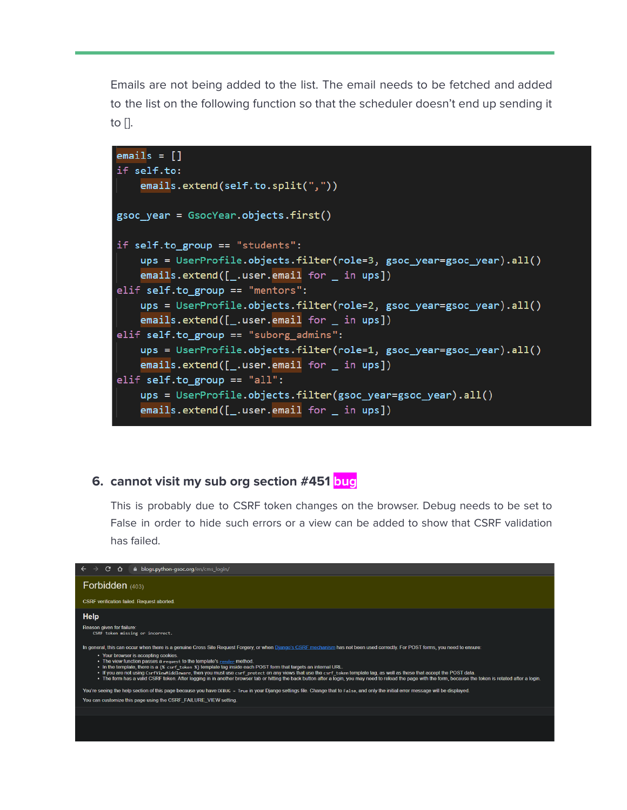Emails are not being added to the list. The email needs to be fetched and added to the list on the following function so that the scheduler doesn't end up sending it to  $\Box$ .



#### **6. cannot visit my sub org section #451 bug**

This is probably due to CSRF token changes on the browser. Debug needs to be set to False in order to hide such errors or a view can be added to show that CSRF validation has failed.

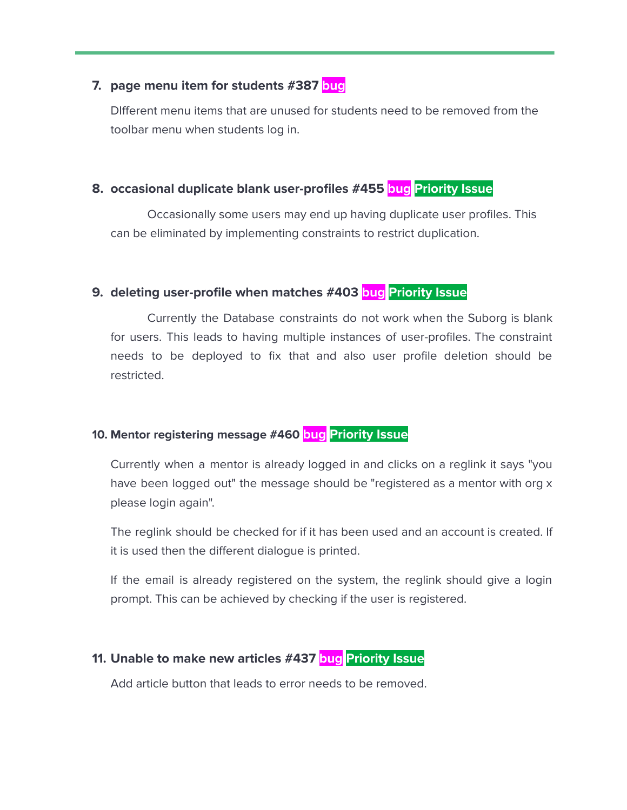#### **7. page menu item for students #387 bug**

DIfferent menu items that are unused for students need to be removed from the toolbar menu when students log in.

#### **8. occasional duplicate blank user-profiles #455 bug Priority Issue**

Occasionally some users may end up having duplicate user profiles. This can be eliminated by implementing constraints to restrict duplication.

#### **9. deleting user-profile when matches #403 bug Priority Issue**

Currently the Database constraints do not work when the Suborg is blank for users. This leads to having multiple instances of user-profiles. The constraint needs to be deployed to fix that and also user profile deletion should be restricted.

# **10. Mentor registering message #460 bug Priority Issue**

Currently when a mentor is already logged in and clicks on a reglink it says "you have been logged out" the message should be "registered as a mentor with org x please login again".

The reglink should be checked for if it has been used and an account is created. If it is used then the different dialogue is printed.

If the email is already registered on the system, the reglink should give a login prompt. This can be achieved by checking if the user is registered.

#### **11. Unable to make new articles #437 bug Priority Issue**

Add article button that leads to error needs to be removed.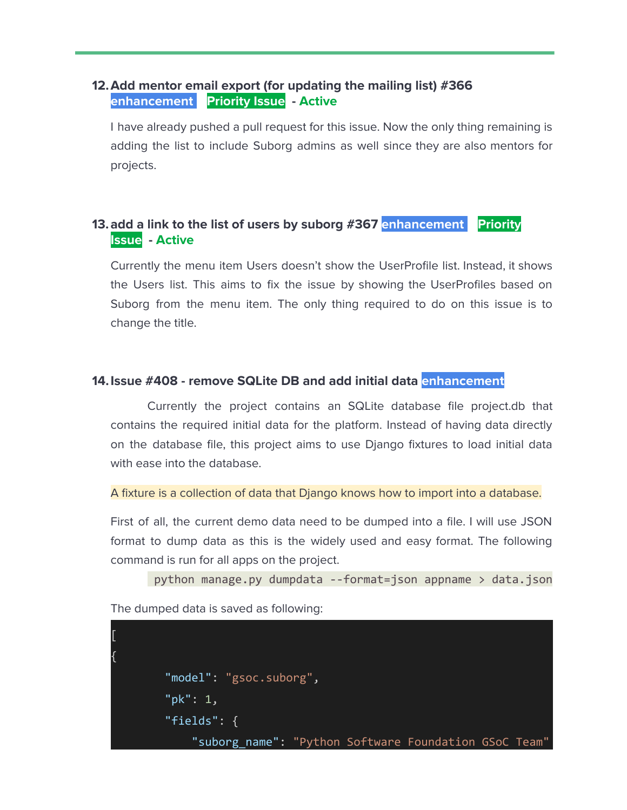#### **12.Add mentor email export (for updating the mailing list) #366 enhancement Priority Issue - Active**

I have already pushed a pull request for this issue. Now the only thing remaining is adding the list to include Suborg admins as well since they are also mentors for projects.

### **13.add a link to the list of users by suborg #367 enhancement Priority Issue - Active**

Currently the menu item Users doesn't show the UserProfile list. Instead, it shows the Users list. This aims to fix the issue by showing the UserProfiles based on Suborg from the menu item. The only thing required to do on this issue is to change the title.

#### **14.Issue #408 - remove SQLite DB and add initial data enhancement**

Currently the project contains an SQLite database file project.db that contains the required initial data for the platform. Instead of having data directly on the database file, this project aims to use Django fixtures to load initial data with ease into the database.

```
A fixture is a collection of data that Django knows how to import into a database.
```
First of all, the current demo data need to be dumped into a file. I will use JSON format to dump data as this is the widely used and easy format. The following command is run for all apps on the project.

```
python manage.py dumpdata --format=json appname > data.json
```
The dumped data is saved as following:

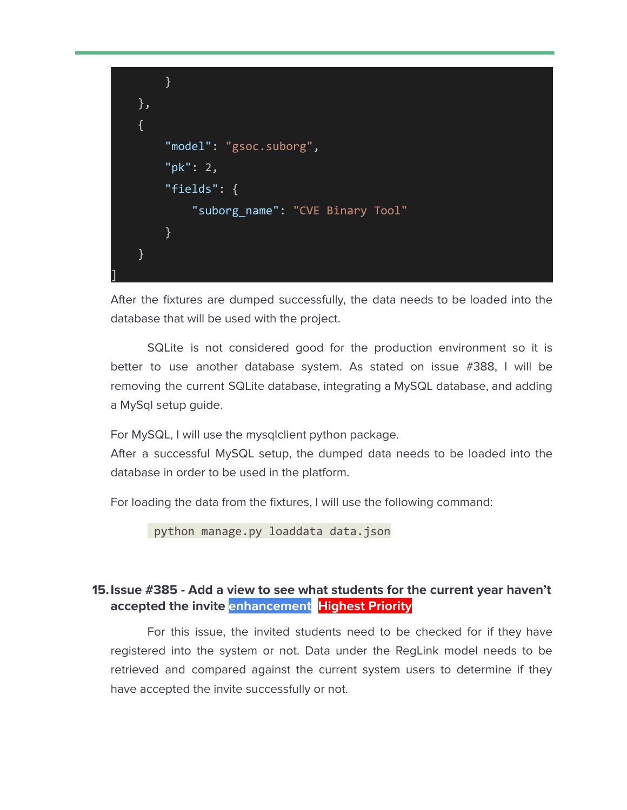

After the fixtures are dumped successfully, the data needs to be loaded into the database that will be used with the project.

SQLite is not considered good for the production environment so it is better to use another database system. As stated on issue #388, I will be removing the current SQLite database, integrating a MySQL database, and adding a MySql setup guide.

For MySQL, I will use the mysqlclient python package.

After a successful MySQL setup, the dumped data needs to be loaded into the database in order to be used in the platform.

For loading the data from the fixtures, I will use the following command:

python manage.py loaddata data.json

#### **15.Issue #385 - Add a view to see what students for the current year haven't accepted the invite enhancement Highest Priority**

For this issue, the invited students need to be checked for if they have registered into the system or not. Data under the RegLink model needs to be retrieved and compared against the current system users to determine if they have accepted the invite successfully or not.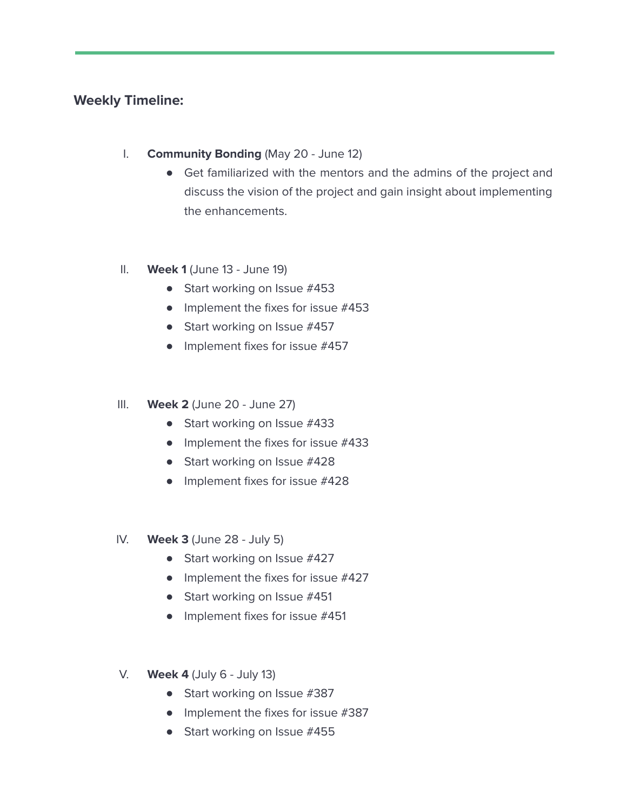## **Weekly Timeline:**

- I. **Community Bonding** (May 20 June 12)
	- Get familiarized with the mentors and the admins of the project and discuss the vision of the project and gain insight about implementing the enhancements.
- II. **Week 1** (June 13 June 19)
	- Start working on Issue #453
	- Implement the fixes for issue #453
	- Start working on Issue #457
	- Implement fixes for issue #457
- III. **Week 2** (June 20 June 27)
	- Start working on Issue #433
	- Implement the fixes for issue #433
	- Start working on Issue #428
	- Implement fixes for issue #428
- IV. **Week 3** (June 28 July 5)
	- Start working on Issue #427
	- Implement the fixes for issue #427
	- Start working on Issue #451
	- Implement fixes for issue #451
- V. **Week 4** (July 6 July 13)
	- Start working on Issue #387
	- Implement the fixes for issue #387
	- Start working on Issue #455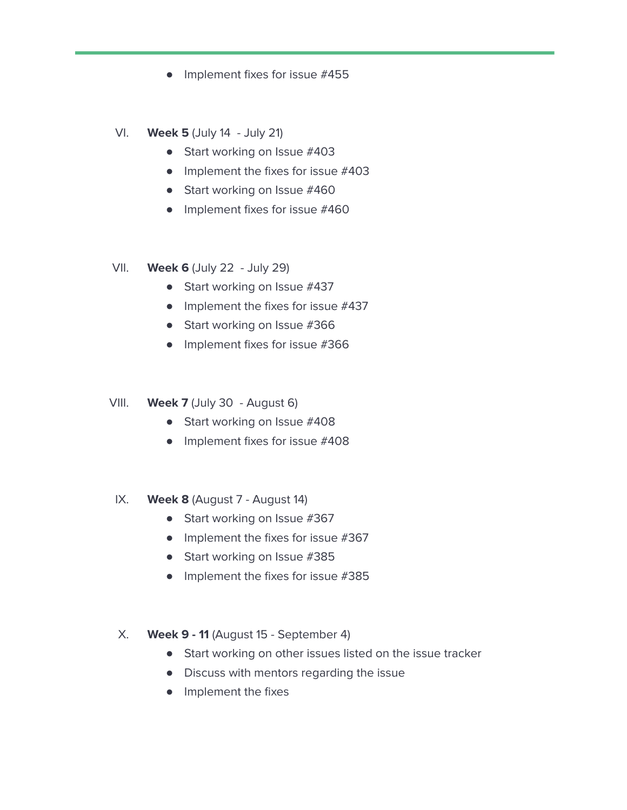- Implement fixes for issue #455
- VI. **Week 5** (July 14 July 21)
	- Start working on Issue #403
	- $\bullet$  Implement the fixes for issue  $\#403$
	- Start working on Issue #460
	- Implement fixes for issue #460
- VII. **Week 6** (July 22 July 29)
	- Start working on Issue #437
	- $\bullet$  Implement the fixes for issue  $\#437$
	- Start working on Issue #366
	- Implement fixes for issue #366
- VIII. **Week 7** (July 30 August 6)
	- Start working on Issue #408
	- Implement fixes for issue #408
- IX. **Week 8** (August 7 August 14)
	- Start working on Issue #367
	- $\bullet$  Implement the fixes for issue #367
	- Start working on Issue #385
	- Implement the fixes for issue #385
- X. **Week 9 - 11** (August 15 September 4)
	- Start working on other issues listed on the issue tracker
	- Discuss with mentors regarding the issue
	- Implement the fixes